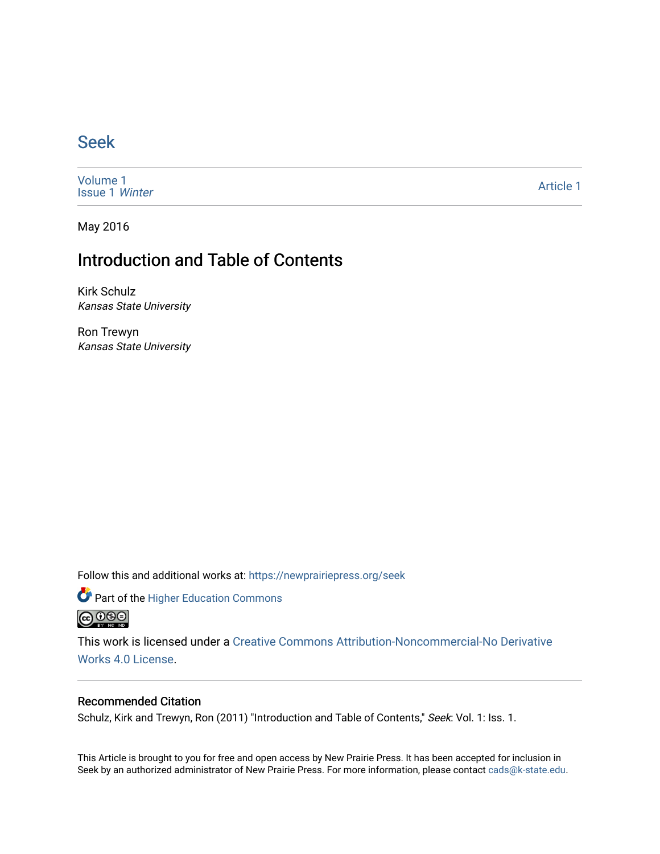# [Seek](https://newprairiepress.org/seek)

[Volume 1](https://newprairiepress.org/seek/vol1) [Issue 1](https://newprairiepress.org/seek/vol1/iss1) Winter

[Article 1](https://newprairiepress.org/seek/vol1/iss1/1) 

May 2016

# Introduction and Table of Contents

Kirk Schulz Kansas State University

Ron Trewyn Kansas State University

Follow this and additional works at: [https://newprairiepress.org/seek](https://newprairiepress.org/seek?utm_source=newprairiepress.org%2Fseek%2Fvol1%2Fiss1%2F1&utm_medium=PDF&utm_campaign=PDFCoverPages)

Part of the [Higher Education Commons](http://network.bepress.com/hgg/discipline/1245?utm_source=newprairiepress.org%2Fseek%2Fvol1%2Fiss1%2F1&utm_medium=PDF&utm_campaign=PDFCoverPages) 



This work is licensed under a [Creative Commons Attribution-Noncommercial-No Derivative](https://creativecommons.org/licenses/by-nc-nd/4.0/)  [Works 4.0 License](https://creativecommons.org/licenses/by-nc-nd/4.0/).

## Recommended Citation

Schulz, Kirk and Trewyn, Ron (2011) "Introduction and Table of Contents," Seek: Vol. 1: Iss. 1.

This Article is brought to you for free and open access by New Prairie Press. It has been accepted for inclusion in Seek by an authorized administrator of New Prairie Press. For more information, please contact [cads@k-state.edu](mailto:cads@k-state.edu).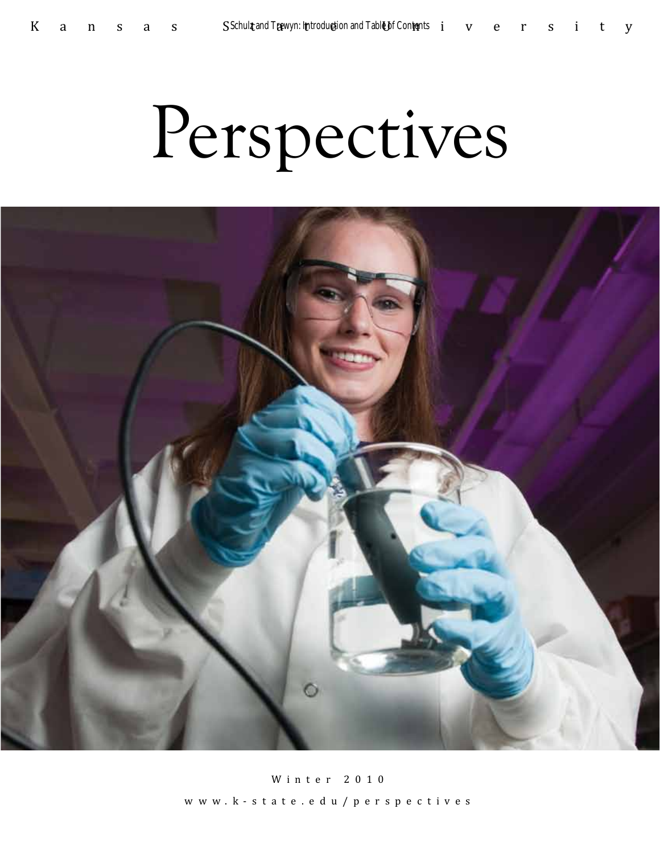# Perspectives



Winter 2010 www.k-state.edu/perspectives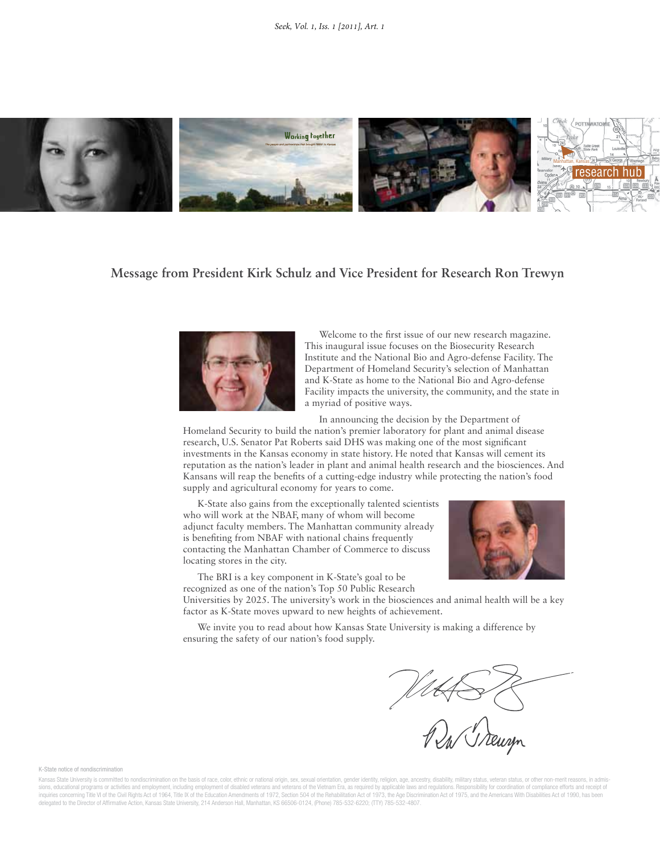

## **Message from President Kirk Schulz and Vice President for Research Ron Trewyn**



Welcome to the first issue of our new research magazine. This inaugural issue focuses on the Biosecurity Research Institute and the National Bio and Agro-defense Facility. The Department of Homeland Security's selection of Manhattan and K-State as home to the National Bio and Agro-defense Facility impacts the university, the community, and the state in a myriad of positive ways.

In announcing the decision by the Department of

Homeland Security to build the nation's premier laboratory for plant and animal disease research, U.S. Senator Pat Roberts said DHS was making one of the most significant investments in the Kansas economy in state history. He noted that Kansas will cement its reputation as the nation's leader in plant and animal health research and the biosciences. And Kansans will reap the benefits of a cutting-edge industry while protecting the nation's food supply and agricultural economy for years to come.

K-State also gains from the exceptionally talented scientists who will work at the NBAF, many of whom will become adjunct faculty members. The Manhattan community already is benefiting from NBAF with national chains frequently contacting the Manhattan Chamber of Commerce to discuss locating stores in the city.



The BRI is a key component in K-State's goal to be recognized as one of the nation's Top 50 Public Research

Universities by 2025. The university's work in the biosciences and animal health will be a key factor as K-State moves upward to new heights of achievement.

We invite you to read about how Kansas State University is making a difference by ensuring the safety of our nation's food supply.

HAS &

K-State notice of nondiscrimination

Kansas State University is committed to nondiscrimination on the basis of race, color, ethnic or national origin, sex, sexual orientation, gender identity, religion, age, ancestry, disability, military status, veteran stat sions, educational programs or activities and employment, including employment of disabled veterans and veterans of the Vietnam Era, as required by applicable laws and regulations. Responsibility for coordination of compli delegated to the Director of Affirmative Action, Kansas State University, 214 Anderson Hall, Manhattan, KS 66506-0124, (Phone) 785-532-6220; (TTY) 785-532-4807.